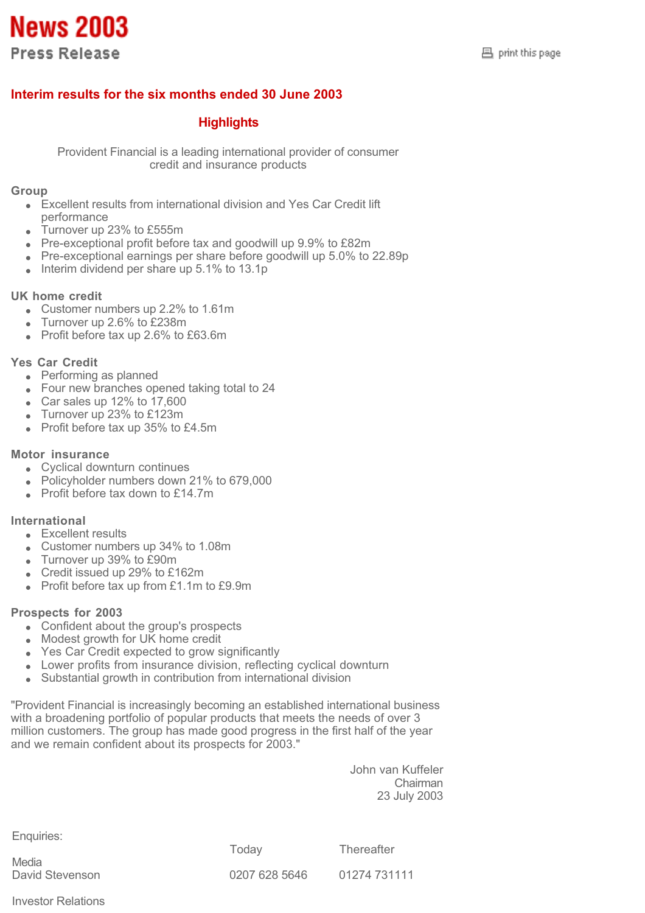

# **Interim results for the six months ended 30 June 2003**

# **Highlights**

Provident Financial is a leading international provider of consumer credit and insurance products

#### **Group**

- Excellent results from international division and Yes Car Credit lift performance
- Turnover up 23% to £555m
- Pre-exceptional profit before tax and goodwill up 9.9% to £82m
- Pre-exceptional earnings per share before goodwill up 5.0% to 22.89p
- $\bullet$  Interim dividend per share up 5.1% to 13.1p

### **UK home credit**

- Customer numbers up 2.2% to 1.61m
- Turnover up 2.6% to £238m
- Profit before tax up 2.6% to £63.6m

### **Yes Car Credit**

- Performing as planned
- Four new branches opened taking total to 24
- Car sales up 12% to 17,600
- Turnover up 23% to £123m
- Profit before tax up 35% to £4.5m

### **Motor insurance**

- Cyclical downturn continues
- Policyholder numbers down 21% to 679,000
- **Profit before tax down to £14.7m**

### **International**

- Excellent results
- Customer numbers up 34% to 1.08m
- Turnover up 39% to £90m
- Credit issued up 29% to £162m
- Profit before tax up from £1.1m to £9.9m

### **Prospects for 2003**

- Confident about the group's prospects
- Modest growth for UK home credit
- Yes Car Credit expected to grow significantly
- Lower profits from insurance division, reflecting cyclical downturn
- Substantial growth in contribution from international division

"Provident Financial is increasingly becoming an established international business with a broadening portfolio of popular products that meets the needs of over 3 million customers. The group has made good progress in the first half of the year and we remain confident about its prospects for 2003."

> John van Kuffeler Chairman 23 July 2003

Enquiries:

**Media** 

Today Thereafter

David Stevenson 0207 628 5646 01274 731111

Investor Relations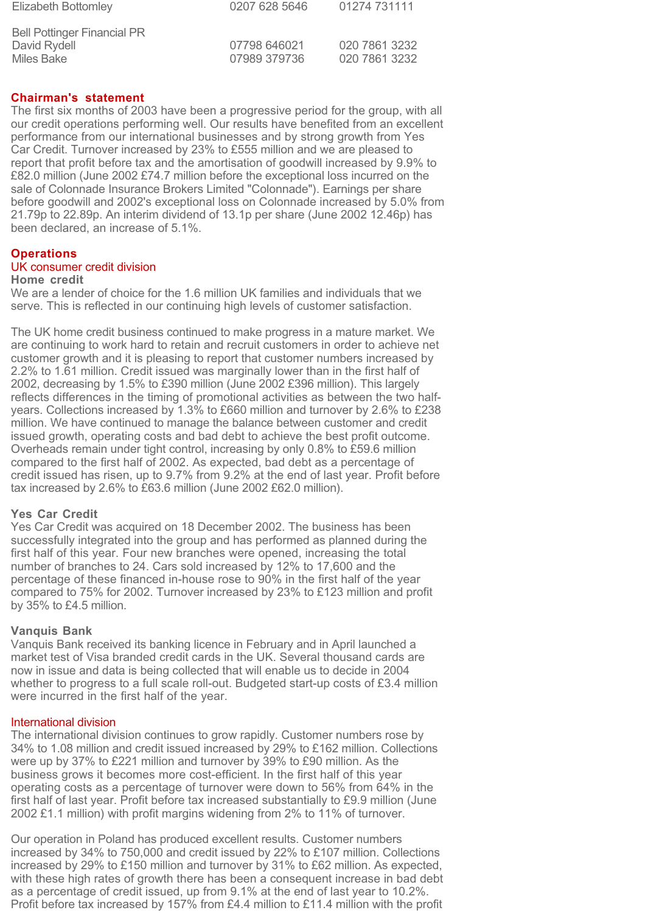| <b>Elizabeth Bottomley</b>                                       | 0207 628 5646                | 01274 731111                   |
|------------------------------------------------------------------|------------------------------|--------------------------------|
| <b>Bell Pottinger Financial PR</b><br>David Rydell<br>Miles Bake | 07798 646021<br>07989 379736 | 020 7861 3232<br>020 7861 3232 |

## **Chairman's statement**

The first six months of 2003 have been a progressive period for the group, with all our credit operations performing well. Our results have benefited from an excellent performance from our international businesses and by strong growth from Yes Car Credit. Turnover increased by 23% to £555 million and we are pleased to report that profit before tax and the amortisation of goodwill increased by 9.9% to £82.0 million (June 2002 £74.7 million before the exceptional loss incurred on the sale of Colonnade Insurance Brokers Limited "Colonnade"). Earnings per share before goodwill and 2002's exceptional loss on Colonnade increased by 5.0% from 21.79p to 22.89p. An interim dividend of 13.1p per share (June 2002 12.46p) has been declared, an increase of 5.1%.

### **Operations**

## UK consumer credit division

#### **Home credit**

We are a lender of choice for the 1.6 million UK families and individuals that we serve. This is reflected in our continuing high levels of customer satisfaction.

The UK home credit business continued to make progress in a mature market. We are continuing to work hard to retain and recruit customers in order to achieve net customer growth and it is pleasing to report that customer numbers increased by 2.2% to 1.61 million. Credit issued was marginally lower than in the first half of 2002, decreasing by 1.5% to £390 million (June 2002 £396 million). This largely reflects differences in the timing of promotional activities as between the two halfyears. Collections increased by 1.3% to £660 million and turnover by 2.6% to £238 million. We have continued to manage the balance between customer and credit issued growth, operating costs and bad debt to achieve the best profit outcome. Overheads remain under tight control, increasing by only 0.8% to £59.6 million compared to the first half of 2002. As expected, bad debt as a percentage of credit issued has risen, up to 9.7% from 9.2% at the end of last year. Profit before tax increased by 2.6% to £63.6 million (June 2002 £62.0 million).

### **Yes Car Credit**

Yes Car Credit was acquired on 18 December 2002. The business has been successfully integrated into the group and has performed as planned during the first half of this year. Four new branches were opened, increasing the total number of branches to 24. Cars sold increased by 12% to 17,600 and the percentage of these financed in-house rose to 90% in the first half of the year compared to 75% for 2002. Turnover increased by 23% to £123 million and profit by 35% to £4.5 million.

### **Vanquis Bank**

Vanquis Bank received its banking licence in February and in April launched a market test of Visa branded credit cards in the UK. Several thousand cards are now in issue and data is being collected that will enable us to decide in 2004 whether to progress to a full scale roll-out. Budgeted start-up costs of £3.4 million were incurred in the first half of the year.

### International division

The international division continues to grow rapidly. Customer numbers rose by 34% to 1.08 million and credit issued increased by 29% to £162 million. Collections were up by 37% to £221 million and turnover by 39% to £90 million. As the business grows it becomes more cost-efficient. In the first half of this year operating costs as a percentage of turnover were down to 56% from 64% in the first half of last year. Profit before tax increased substantially to £9.9 million (June 2002 £1.1 million) with profit margins widening from 2% to 11% of turnover.

Our operation in Poland has produced excellent results. Customer numbers increased by 34% to 750,000 and credit issued by 22% to £107 million. Collections increased by 29% to £150 million and turnover by 31% to £62 million. As expected, with these high rates of growth there has been a consequent increase in bad debt as a percentage of credit issued, up from 9.1% at the end of last year to 10.2%. Profit before tax increased by 157% from £4.4 million to £11.4 million with the profit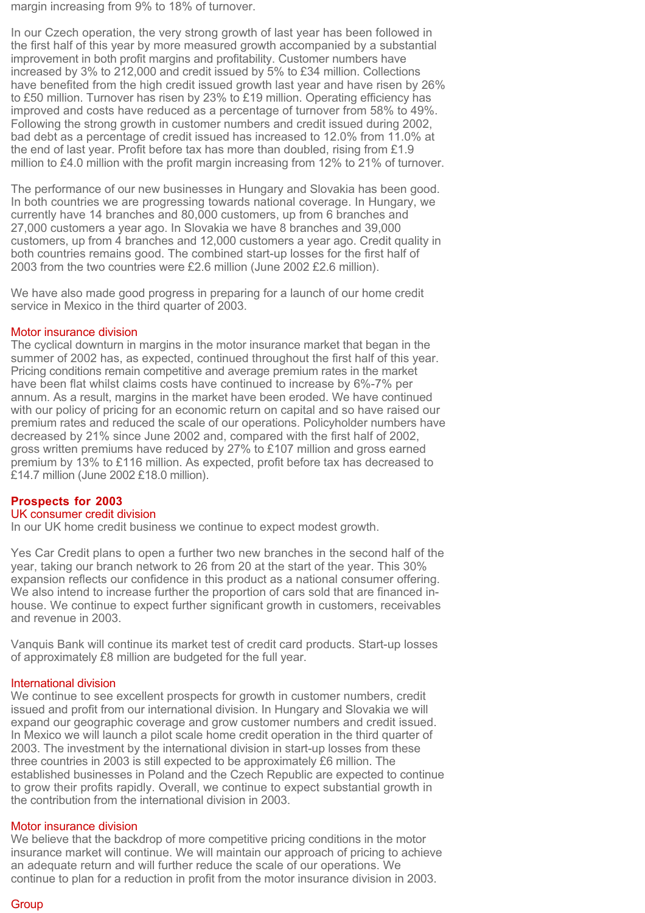margin increasing from 9% to 18% of turnover.

In our Czech operation, the very strong growth of last year has been followed in the first half of this year by more measured growth accompanied by a substantial improvement in both profit margins and profitability. Customer numbers have increased by 3% to 212,000 and credit issued by 5% to £34 million. Collections have benefited from the high credit issued growth last year and have risen by 26% to £50 million. Turnover has risen by 23% to £19 million. Operating efficiency has improved and costs have reduced as a percentage of turnover from 58% to 49%. Following the strong growth in customer numbers and credit issued during 2002, bad debt as a percentage of credit issued has increased to 12.0% from 11.0% at the end of last year. Profit before tax has more than doubled, rising from £1.9 million to £4.0 million with the profit margin increasing from 12% to 21% of turnover.

The performance of our new businesses in Hungary and Slovakia has been good. In both countries we are progressing towards national coverage. In Hungary, we currently have 14 branches and 80,000 customers, up from 6 branches and 27,000 customers a year ago. In Slovakia we have 8 branches and 39,000 customers, up from 4 branches and 12,000 customers a year ago. Credit quality in both countries remains good. The combined start-up losses for the first half of 2003 from the two countries were £2.6 million (June 2002 £2.6 million).

We have also made good progress in preparing for a launch of our home credit service in Mexico in the third quarter of 2003.

### Motor insurance division

The cyclical downturn in margins in the motor insurance market that began in the summer of 2002 has, as expected, continued throughout the first half of this year. Pricing conditions remain competitive and average premium rates in the market have been flat whilst claims costs have continued to increase by 6%-7% per annum. As a result, margins in the market have been eroded. We have continued with our policy of pricing for an economic return on capital and so have raised our premium rates and reduced the scale of our operations. Policyholder numbers have decreased by 21% since June 2002 and, compared with the first half of 2002, gross written premiums have reduced by 27% to £107 million and gross earned premium by 13% to £116 million. As expected, profit before tax has decreased to £14.7 million (June 2002 £18.0 million).

### **Prospects for 2003**

### UK consumer credit division

In our UK home credit business we continue to expect modest growth.

Yes Car Credit plans to open a further two new branches in the second half of the year, taking our branch network to 26 from 20 at the start of the year. This 30% expansion reflects our confidence in this product as a national consumer offering. We also intend to increase further the proportion of cars sold that are financed inhouse. We continue to expect further significant growth in customers, receivables and revenue in 2003.

Vanquis Bank will continue its market test of credit card products. Start-up losses of approximately £8 million are budgeted for the full year.

### International division

We continue to see excellent prospects for growth in customer numbers, credit issued and profit from our international division. In Hungary and Slovakia we will expand our geographic coverage and grow customer numbers and credit issued. In Mexico we will launch a pilot scale home credit operation in the third quarter of 2003. The investment by the international division in start-up losses from these three countries in 2003 is still expected to be approximately £6 million. The established businesses in Poland and the Czech Republic are expected to continue to grow their profits rapidly. Overall, we continue to expect substantial growth in the contribution from the international division in 2003.

### Motor insurance division

We believe that the backdrop of more competitive pricing conditions in the motor insurance market will continue. We will maintain our approach of pricing to achieve an adequate return and will further reduce the scale of our operations. We continue to plan for a reduction in profit from the motor insurance division in 2003.

### **Group**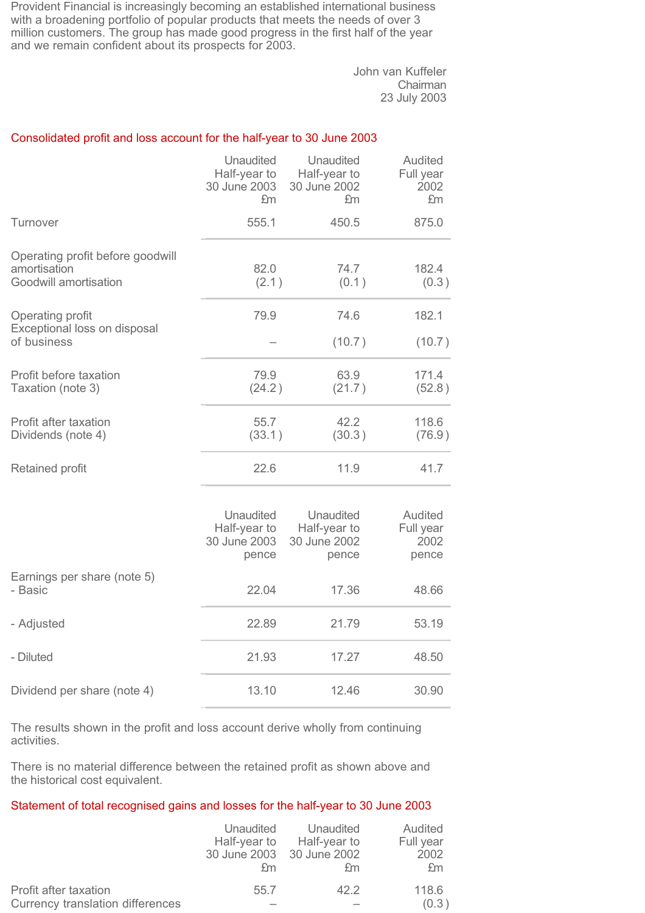Provident Financial is increasingly becoming an established international business with a broadening portfolio of popular products that meets the needs of over 3 million customers. The group has made good progress in the first half of the year and we remain confident about its prospects for 2003.

> John van Kuffeler Chairman 23 July 2003

### Consolidated profit and loss account for the half-year to 30 June 2003

|                                                                           | Unaudited<br>Half-year to<br>30 June 2003<br>£m    | Unaudited<br>Half-year to<br>30 June 2002<br>£m           | Audited<br>Full year<br>2002<br>£m    |
|---------------------------------------------------------------------------|----------------------------------------------------|-----------------------------------------------------------|---------------------------------------|
| Turnover                                                                  | 555.1                                              | 450.5                                                     | 875.0                                 |
| Operating profit before goodwill<br>amortisation<br>Goodwill amortisation | 82.0<br>(2.1)                                      | 74.7<br>(0.1)                                             | 182.4<br>(0.3)                        |
| Operating profit<br>Exceptional loss on disposal                          | 79.9                                               | 74.6                                                      | 182.1                                 |
| of business                                                               |                                                    | (10.7)                                                    | (10.7)                                |
| Profit before taxation<br>Taxation (note 3)                               | 79.9<br>(24.2)                                     | 63.9<br>(21.7)                                            | 171.4<br>(52.8)                       |
| Profit after taxation<br>Dividends (note 4)                               | 55.7<br>(33.1)                                     | 42.2<br>(30.3)                                            | 118.6<br>(76.9)                       |
| Retained profit                                                           | 22.6                                               | 11.9                                                      | 41.7                                  |
|                                                                           | Unaudited<br>Half-year to<br>30 June 2003<br>pence | <b>Unaudited</b><br>Half-year to<br>30 June 2002<br>pence | Audited<br>Full year<br>2002<br>pence |
| Earnings per share (note 5)<br>- Basic                                    | 22.04                                              | 17.36                                                     | 48.66                                 |
| - Adjusted                                                                | 22.89                                              | 21.79                                                     | 53.19                                 |
| - Diluted                                                                 | 21.93                                              | 17.27                                                     | 48.50                                 |
| Dividend per share (note 4)                                               | 13.10                                              | 12.46                                                     | 30.90                                 |

The results shown in the profit and loss account derive wholly from continuing activities.

There is no material difference between the retained profit as shown above and the historical cost equivalent.

#### Statement of total recognised gains and losses for the half-year to 30 June 2003

|                                                           | Unaudited<br>£m | Unaudited<br>Half-year to Half-year to<br>30 June 2003 30 June 2002<br>fm | Audited<br>Full year<br>2002<br>£m |
|-----------------------------------------------------------|-----------------|---------------------------------------------------------------------------|------------------------------------|
| Profit after taxation<br>Currency translation differences | 55.7            | 422                                                                       | 118.6<br>(0.3)                     |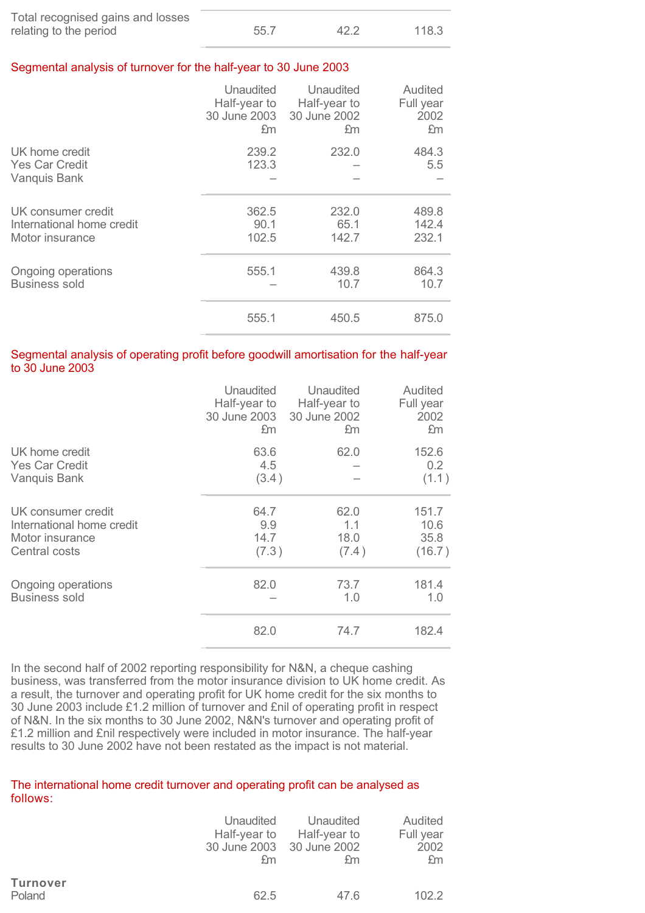| Total recognised gains and losses |      |       |       |
|-----------------------------------|------|-------|-------|
| relating to the period            | 55.7 | -42.2 | 118.3 |

### Segmental analysis of turnover for the half-year to 30 June 2003

|                                                         | Unaudited      | Unaudited    | Audited      |
|---------------------------------------------------------|----------------|--------------|--------------|
|                                                         | Half-year to   | Half-year to | Full year    |
|                                                         | 30 June 2003   | 30 June 2002 | 2002         |
|                                                         | £m             | £m           | £m           |
| UK home credit<br><b>Yes Car Credit</b><br>Vanquis Bank | 239.2<br>123.3 | 232.0        | 484.3<br>5.5 |
| UK consumer credit                                      | 362.5          | 232.0        | 489.8        |
| International home credit                               | 90.1           | 65.1         | 142.4        |
| Motor insurance                                         | 102.5          | 142.7        | 232.1        |
| Ongoing operations                                      | 555.1          | 439.8        | 864.3        |
| <b>Business sold</b>                                    |                | 10.7         | 10.7         |
|                                                         | 555.1          | 450.5        | 875.0        |

### Segmental analysis of operating profit before goodwill amortisation for the half-year to 30 June 2003

|                           | Unaudited    | Unaudited    | Audited   |
|---------------------------|--------------|--------------|-----------|
|                           | Half-year to | Half-year to | Full year |
|                           | 30 June 2003 | 30 June 2002 | 2002      |
|                           | £m           | £m           | £m        |
| UK home credit            | 63.6         | 62.0         | 152.6     |
| <b>Yes Car Credit</b>     | 4.5          |              | 0.2       |
| Vanquis Bank              | (3.4)        |              | (1.1)     |
| UK consumer credit        | 64.7         | 62.0         | 151.7     |
| International home credit | 9.9          | 1.1          | 10.6      |
| Motor insurance           | 14.7         | 18.0         | 35.8      |
| Central costs             | (7.3)        | (7.4)        | (16.7)    |
| Ongoing operations        | 82.0         | 73.7         | 181.4     |
| <b>Business sold</b>      |              | 1.0          | 1.0       |
|                           | 82.0         | 74.7         | 182.4     |

In the second half of 2002 reporting responsibility for N&N, a cheque cashing business, was transferred from the motor insurance division to UK home credit. As a result, the turnover and operating profit for UK home credit for the six months to 30 June 2003 include £1.2 million of turnover and £nil of operating profit in respect of N&N. In the six months to 30 June 2002, N&N's turnover and operating profit of £1.2 million and £nil respectively were included in motor insurance. The half-year results to 30 June 2002 have not been restated as the impact is not material.

### The international home credit turnover and operating profit can be analysed as follows:

|                           | Unaudited<br>£m | Unaudited<br>Half-year to Half-year to<br>30 June 2003 30 June 2002<br>£m | Audited<br>Full year<br>2002<br>£m |
|---------------------------|-----------------|---------------------------------------------------------------------------|------------------------------------|
| <b>Turnover</b><br>Poland | 62.5            | 476                                                                       | 102.2                              |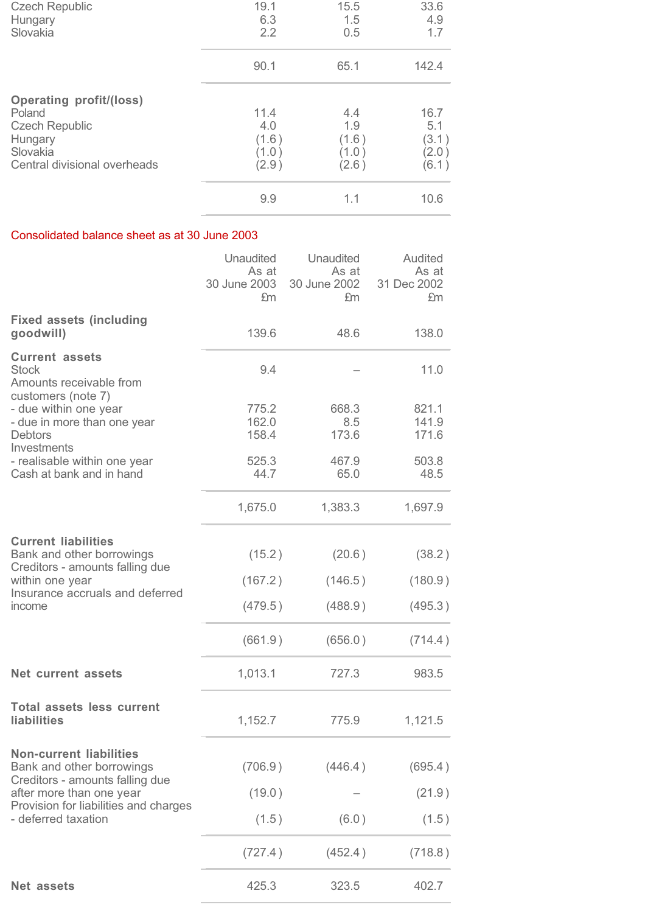| <b>Czech Republic</b><br>Hungary | 19.1<br>6.3 | 15.5<br>1.5 | 33.6<br>4.9 |
|----------------------------------|-------------|-------------|-------------|
| Slovakia                         | 2.2         | 0.5         | 1.7         |
|                                  | 90.1        | 65.1        | 142.4       |
| <b>Operating profit/(loss)</b>   |             |             |             |
| Poland                           | 11.4        | 4.4         | 16.7        |
| <b>Czech Republic</b>            | 4.0         | 1.9         | 5.1         |
| Hungary                          | (1.6)       | (1.6)       | (3.1)       |
| Slovakia                         | (1.0)       | (1.0)       | (2.0)       |
| Central divisional overheads     | (2.9)       | (2.6)       | (6.1)       |
|                                  | 9.9         | 1.1         | 10.6        |
|                                  |             |             |             |

### Consolidated balance sheet as at 30 June 2003

|                                                                                                | <b>Unaudited</b><br>As at<br>30 June 2003<br>£m | Unaudited<br>As at<br>30 June 2002<br>£m | Audited<br>As at<br>31 Dec 2002<br>£m |
|------------------------------------------------------------------------------------------------|-------------------------------------------------|------------------------------------------|---------------------------------------|
| <b>Fixed assets (including</b><br>goodwill)                                                    | 139.6                                           | 48.6                                     | 138.0                                 |
| <b>Current assets</b><br><b>Stock</b><br>Amounts receivable from                               | 9.4                                             |                                          | 11.0                                  |
| customers (note 7)<br>- due within one year<br>- due in more than one year<br><b>Debtors</b>   | 775.2<br>162.0<br>158.4                         | 668.3<br>8.5<br>173.6                    | 821.1<br>141.9<br>171.6               |
| Investments<br>- realisable within one year<br>Cash at bank and in hand                        | 525.3<br>44.7                                   | 467.9<br>65.0                            | 503.8<br>48.5                         |
|                                                                                                | 1,675.0                                         | 1,383.3                                  | 1,697.9                               |
| <b>Current liabilities</b><br>Bank and other borrowings                                        | (15.2)                                          | (20.6)                                   | (38.2)                                |
| Creditors - amounts falling due<br>within one year                                             | (167.2)                                         | (146.5)                                  | (180.9)                               |
| Insurance accruals and deferred<br>income                                                      | (479.5)                                         | (488.9)                                  | (495.3)                               |
|                                                                                                | (661.9)                                         | (656.0)                                  | (714.4)                               |
| <b>Net current assets</b>                                                                      | 1,013.1                                         | 727.3                                    | 983.5                                 |
| <b>Total assets less current</b><br><b>liabilities</b>                                         | 1,152.7                                         | 775.9                                    | 1,121.5                               |
| <b>Non-current liabilities</b><br>Bank and other borrowings<br>Creditors - amounts falling due | (706.9)                                         | (446.4)                                  | (695.4)                               |
| after more than one year                                                                       | (19.0)                                          |                                          | (21.9)                                |
| Provision for liabilities and charges<br>- deferred taxation                                   | (1.5)                                           | (6.0)                                    | (1.5)                                 |
|                                                                                                | (727.4)                                         | (452.4)                                  | (718.8)                               |
| <b>Net assets</b>                                                                              | 425.3                                           | 323.5                                    | 402.7                                 |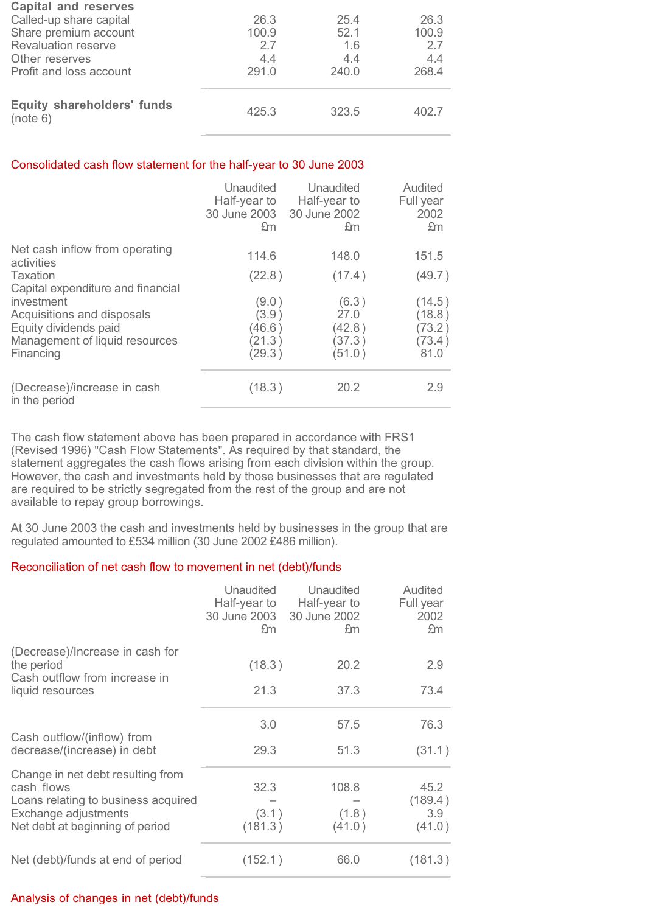| <b>Capital and reserves</b>       |       |       |       |
|-----------------------------------|-------|-------|-------|
| Called-up share capital           | 26.3  | 25.4  | 26.3  |
| Share premium account             | 100.9 | 52.1  | 100.9 |
| <b>Revaluation reserve</b>        | 27    | 1.6   | 2.7   |
| Other reserves                    | 4.4   | 44    | 4.4   |
| Profit and loss account           | 291.0 | 240.0 | 268.4 |
| <b>Equity shareholders' funds</b> |       |       |       |
| (note 6)                          | 425.3 | 323.5 | 402.7 |

### Consolidated cash flow statement for the half-year to 30 June 2003

|                                                                                                     | <b>Unaudited</b><br>Half-year to<br>30 June 2003 30 June 2002<br>£m | Unaudited<br>Half-year to<br>£m   | Audited<br>Full year<br>2002<br>£m   |
|-----------------------------------------------------------------------------------------------------|---------------------------------------------------------------------|-----------------------------------|--------------------------------------|
| Net cash inflow from operating<br>activities                                                        | 114.6                                                               | 148.0                             | 151.5                                |
| Taxation<br>Capital expenditure and financial                                                       | (22.8)                                                              | (17.4)                            | (49.7)                               |
| investment<br>Acquisitions and disposals<br>Equity dividends paid<br>Management of liquid resources | (9.0)<br>(3.9)<br>(46.6)<br>(21.3)                                  | (6.3)<br>27.0<br>(42.8)<br>(37.3) | (14.5)<br>(18.8)<br>(73.2)<br>(73.4) |
| Financing                                                                                           | (29.3)                                                              | (51.0)                            | 81.0                                 |
| (Decrease)/increase in cash<br>in the period                                                        | (18.3)                                                              | 20.2                              | 2.9                                  |

The cash flow statement above has been prepared in accordance with FRS1 (Revised 1996) "Cash Flow Statements". As required by that standard, the statement aggregates the cash flows arising from each division within the group. However, the cash and investments held by those businesses that are regulated are required to be strictly segregated from the rest of the group and are not available to repay group borrowings.

At 30 June 2003 the cash and investments held by businesses in the group that are regulated amounted to £534 million (30 June 2002 £486 million).

### Reconciliation of net cash flow to movement in net (debt)/funds

|                                                                                                                                                   | Unaudited<br>Half-year to<br>30 June 2003<br>£m | <b>Unaudited</b><br>Half-year to<br>30 June 2002<br>£m | Audited<br>Full year<br>2002<br>£m            |
|---------------------------------------------------------------------------------------------------------------------------------------------------|-------------------------------------------------|--------------------------------------------------------|-----------------------------------------------|
| (Decrease)/Increase in cash for<br>the period<br>Cash outflow from increase in<br>liquid resources                                                | (18.3)<br>21.3                                  | 20.2<br>37.3                                           | 2.9<br>73.4                                   |
| Cash outflow/(inflow) from<br>decrease/(increase) in debt                                                                                         | 3.0<br>29.3                                     | 57.5<br>51.3                                           | 76.3<br>(31.1)                                |
| Change in net debt resulting from<br>cash flows<br>Loans relating to business acquired<br>Exchange adjustments<br>Net debt at beginning of period | 32.3<br>(3.1)<br>(181.3)                        | 108.8<br>(1.8)<br>(41.0)                               | 45.2<br>(189.4)<br>3.9 <sup>°</sup><br>(41.0) |
| Net (debt)/funds at end of period                                                                                                                 | (152.1)                                         | 66.0                                                   | (181.3)                                       |

### Analysis of changes in net (debt)/funds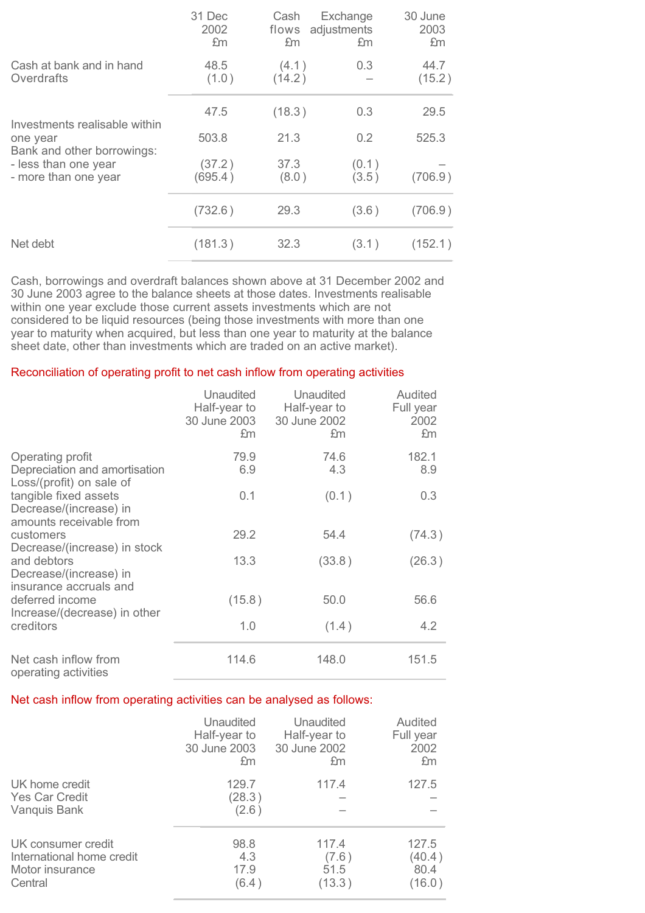|                                              | 31 Dec<br>2002<br>£m | Cash<br>flows<br>£m | Exchange<br>adjustments<br>£m | 30 June<br>2003<br>£m |
|----------------------------------------------|----------------------|---------------------|-------------------------------|-----------------------|
| Cash at bank and in hand<br>Overdrafts       | 48.5<br>(1.0)        | (4.1)<br>(14.2)     | 0.3                           | 44.7<br>(15.2)        |
| Investments realisable within                | 47.5                 | (18.3)              | 0.3                           | 29.5                  |
| one year<br>Bank and other borrowings:       | 503.8                | 21.3                | 0.2                           | 525.3                 |
| - less than one year<br>- more than one year | (37.2)<br>(695.4)    | 37.3<br>(8.0)       | (0.1)<br>(3.5)                | (706.9)               |
|                                              | (732.6)              | 29.3                | (3.6)                         | (706.9)               |
| Net debt                                     | (181.3)              | 32.3                | (3.1)                         | (152.1)               |

Cash, borrowings and overdraft balances shown above at 31 December 2002 and 30 June 2003 agree to the balance sheets at those dates. Investments realisable within one year exclude those current assets investments which are not considered to be liquid resources (being those investments with more than one year to maturity when acquired, but less than one year to maturity at the balance sheet date, other than investments which are traded on an active market).

### Reconciliation of operating profit to net cash inflow from operating activities

|                                                                               | <b>Unaudited</b><br>Half-year to<br>30 June 2003<br>£m | Unaudited<br>Half-year to<br>30 June 2002<br>£m | Audited<br>Full year<br>2002<br>£m |
|-------------------------------------------------------------------------------|--------------------------------------------------------|-------------------------------------------------|------------------------------------|
| Operating profit<br>Depreciation and amortisation<br>Loss/(profit) on sale of | 79.9<br>6.9                                            | 74.6<br>4.3                                     | 182.1<br>8.9                       |
| tangible fixed assets<br>Decrease/(increase) in<br>amounts receivable from    | 0.1                                                    | (0.1)                                           | 0.3                                |
| customers<br>Decrease/(increase) in stock                                     | 29.2                                                   | 54.4                                            | (74.3)                             |
| and debtors<br>Decrease/(increase) in<br>insurance accruals and               | 13.3                                                   | (33.8)                                          | (26.3)                             |
| deferred income<br>Increase/(decrease) in other                               | (15.8)                                                 | 50.0                                            | 56.6                               |
| creditors                                                                     | 1.0                                                    | (1.4)                                           | 4.2                                |
| Net cash inflow from<br>operating activities                                  | 114.6                                                  | 148.0                                           | 151.5                              |

### Net cash inflow from operating activities can be analysed as follows:

|                                                         | Unaudited                | Unaudited    | Audited   |
|---------------------------------------------------------|--------------------------|--------------|-----------|
|                                                         | Half-year to             | Half-year to | Full year |
|                                                         | 30 June 2003             | 30 June 2002 | 2002      |
|                                                         | £m                       | £m           | £m        |
| UK home credit<br><b>Yes Car Credit</b><br>Vanquis Bank | 129.7<br>(28.3)<br>(2.6) | 117.4        | 127.5     |
| UK consumer credit                                      | 98.8                     | 117.4        | 127.5     |
| International home credit                               | 4.3                      | (7.6)        | (40.4)    |
| Motor insurance                                         | 17.9                     | 51.5         | 80.4      |
| Central                                                 | (6.4)                    | (13.3)       | (16.0)    |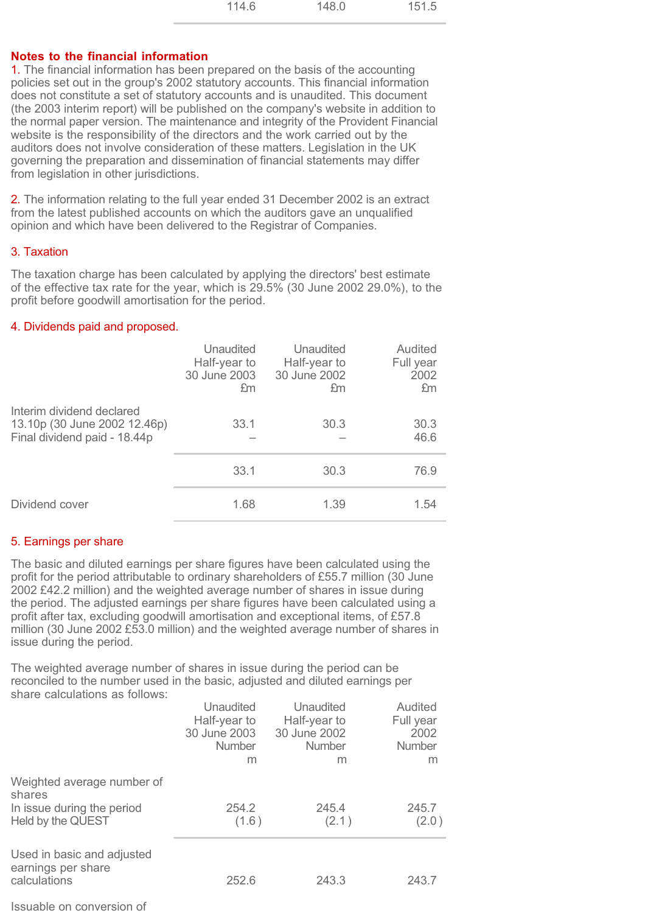| 148.0<br>114.6<br>151.5<br>$\cdot$ $\circ$ |
|--------------------------------------------|
|--------------------------------------------|

#### **Notes to the financial information**

**1.** The financial information has been prepared on the basis of the accounting policies set out in the group's 2002 statutory accounts. This financial information does not constitute a set of statutory accounts and is unaudited. This document (the 2003 interim report) will be published on the company's website in addition to the normal paper version. The maintenance and integrity of the Provident Financial website is the responsibility of the directors and the work carried out by the auditors does not involve consideration of these matters. Legislation in the UK governing the preparation and dissemination of financial statements may differ from legislation in other jurisdictions.

2. The information relating to the full year ended 31 December 2002 is an extract from the latest published accounts on which the auditors gave an unqualified opinion and which have been delivered to the Registrar of Companies.

#### 3. Taxation

The taxation charge has been calculated by applying the directors' best estimate of the effective tax rate for the year, which is 29.5% (30 June 2002 29.0%), to the profit before goodwill amortisation for the period.

#### 4. Dividends paid and proposed.

|                                                                                           | Unaudited<br>Half-year to<br>30 June 2003<br>£m | Unaudited<br>Half-year to<br>30 June 2002<br>£m | Audited<br>Full year<br>2002<br>£m |
|-------------------------------------------------------------------------------------------|-------------------------------------------------|-------------------------------------------------|------------------------------------|
| Interim dividend declared<br>13.10p (30 June 2002 12.46p)<br>Final dividend paid - 18.44p | 33.1                                            | 30.3                                            | 30.3<br>46.6                       |
|                                                                                           | 33.1                                            | 30.3                                            | 76.9                               |
| Dividend cover                                                                            | 1.68                                            | 1.39                                            | 1.54                               |

### 5. Earnings per share

The basic and diluted earnings per share figures have been calculated using the profit for the period attributable to ordinary shareholders of £55.7 million (30 June 2002 £42.2 million) and the weighted average number of shares in issue during the period. The adjusted earnings per share figures have been calculated using a profit after tax, excluding goodwill amortisation and exceptional items, of £57.8 million (30 June 2002 £53.0 million) and the weighted average number of shares in issue during the period.

The weighted average number of shares in issue during the period can be reconciled to the number used in the basic, adjusted and diluted earnings per share calculations as follows:

|                                                                                         | Unaudited<br>Half-year to<br>30 June 2003<br><b>Number</b><br>m | Unaudited<br>Half-year to<br>30 June 2002<br><b>Number</b><br>m | Audited<br>Full year<br>2002<br><b>Number</b><br>m |
|-----------------------------------------------------------------------------------------|-----------------------------------------------------------------|-----------------------------------------------------------------|----------------------------------------------------|
| Weighted average number of<br>shares<br>In issue during the period<br>Held by the QUEST | 254.2<br>(1.6)                                                  | 245.4<br>(2.1)                                                  | 245.7<br>(2.0)                                     |
| Used in basic and adjusted<br>earnings per share<br>calculations                        | 252.6                                                           | 243.3                                                           | 243.7                                              |

Issuable on conversion of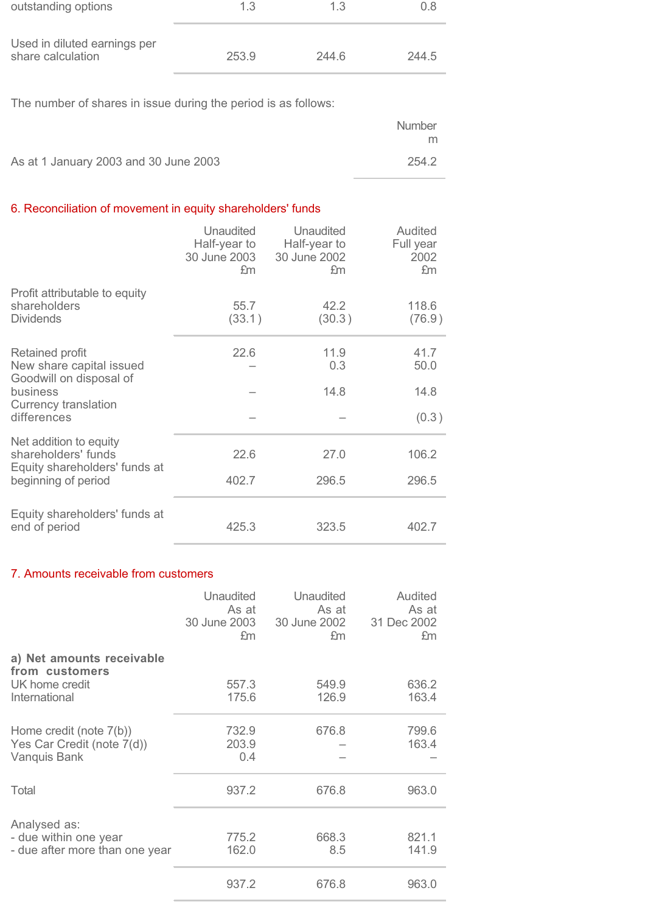| outstanding options                               | 13    | 13    | 0.8   |
|---------------------------------------------------|-------|-------|-------|
| Used in diluted earnings per<br>share calculation | 253.9 | 244.6 | 244.5 |

The number of shares in issue during the period is as follows:

|                                       | Number |
|---------------------------------------|--------|
|                                       | m      |
| As at 1 January 2003 and 30 June 2003 | 254.2  |

# 6. Reconciliation of movement in equity shareholders' funds

|                                                                                | <b>Unaudited</b><br>Half-year to<br>30 June 2003<br>£m | <b>Unaudited</b><br>Half-year to<br>30 June 2002<br>£m | Audited<br>Full year<br>2002<br>£m |
|--------------------------------------------------------------------------------|--------------------------------------------------------|--------------------------------------------------------|------------------------------------|
| Profit attributable to equity<br>shareholders<br><b>Dividends</b>              | 55.7<br>(33.1)                                         | 42.2<br>(30.3)                                         | 118.6<br>(76.9)                    |
| Retained profit<br>New share capital issued<br>Goodwill on disposal of         | 22.6                                                   | 11.9<br>0.3                                            | 41.7<br>50.0                       |
| business<br>Currency translation<br>differences                                |                                                        | 14.8                                                   | 14.8<br>(0.3)                      |
| Net addition to equity<br>shareholders' funds<br>Equity shareholders' funds at | 22.6                                                   | 27.0                                                   | 106.2                              |
| beginning of period                                                            | 402.7                                                  | 296.5                                                  | 296.5                              |
| Equity shareholders' funds at<br>end of period                                 | 425.3                                                  | 323.5                                                  | 402.7                              |

### 7. Amounts receivable from customers

|                                                                                | <b>Unaudited</b><br>As at<br>30 June 2003<br>£m | <b>Unaudited</b><br>As at<br>30 June 2002<br>£m | Audited<br>As at<br>31 Dec 2002<br>£m |
|--------------------------------------------------------------------------------|-------------------------------------------------|-------------------------------------------------|---------------------------------------|
| a) Net amounts receivable<br>from customers<br>UK home credit<br>International | 557.3<br>175.6                                  | 549.9<br>126.9                                  | 636.2<br>163.4                        |
| Home credit (note 7(b))<br>Yes Car Credit (note 7(d))<br>Vanquis Bank          | 732.9<br>203.9<br>0.4                           | 676.8                                           | 799.6<br>163.4                        |
| Total                                                                          | 937.2                                           | 676.8                                           | 963.0                                 |
| Analysed as:<br>- due within one year<br>- due after more than one year        | 775.2<br>162.0                                  | 668.3<br>8.5                                    | 821.1<br>141.9                        |
|                                                                                | 937.2                                           | 676.8                                           | 963.0                                 |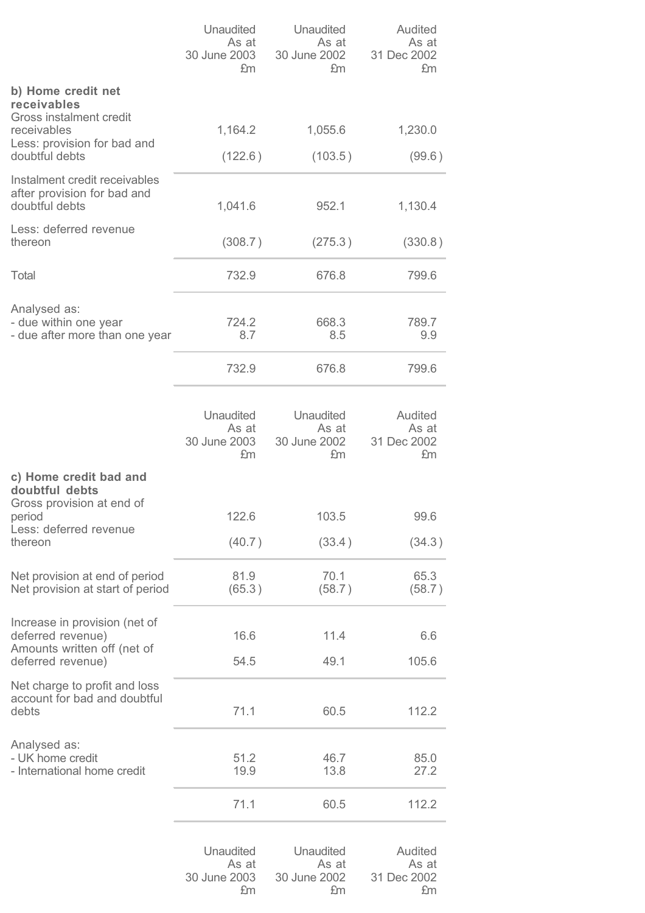|                                                                                   | Unaudited<br>As at<br>30 June 2003              | Unaudited<br>As at<br>30 June 2002              | <b>Audited</b><br>As at<br>31 Dec 2002 |
|-----------------------------------------------------------------------------------|-------------------------------------------------|-------------------------------------------------|----------------------------------------|
| b) Home credit net<br>receivables                                                 | £m                                              | £m                                              | £m                                     |
| Gross instalment credit<br>receivables<br>Less: provision for bad and             | 1,164.2                                         | 1,055.6                                         | 1,230.0                                |
| doubtful debts                                                                    | (122.6)                                         | (103.5)                                         | (99.6)                                 |
| Instalment credit receivables<br>after provision for bad and<br>doubtful debts    | 1,041.6                                         | 952.1                                           | 1,130.4                                |
| Less: deferred revenue<br>thereon                                                 | (308.7)                                         | (275.3)                                         | (330.8)                                |
| Total                                                                             | 732.9                                           | 676.8                                           | 799.6                                  |
| Analysed as:<br>- due within one year<br>- due after more than one year           | 724.2<br>8.7                                    | 668.3<br>8.5                                    | 789.7<br>9.9                           |
|                                                                                   | 732.9                                           | 676.8                                           | 799.6                                  |
|                                                                                   | <b>Unaudited</b><br>As at<br>30 June 2003<br>£m | <b>Unaudited</b><br>As at<br>30 June 2002<br>£m | Audited<br>As at<br>31 Dec 2002<br>£m  |
| c) Home credit bad and<br>doubtful debts<br>Gross provision at end of<br>period   | 122.6                                           | 103.5                                           | 99.6                                   |
| Less: deferred revenue<br>thereon                                                 | (40.7)                                          | (33.4)                                          | (34.3)                                 |
| Net provision at end of period<br>Net provision at start of period                | 81.9<br>(65.3)                                  | 70.1<br>(58.7)                                  | 65.3<br>(58.7)                         |
| Increase in provision (net of<br>deferred revenue)<br>Amounts written off (net of | 16.6                                            | 11.4                                            | 6.6                                    |
| deferred revenue)                                                                 | 54.5                                            | 49.1                                            | 105.6                                  |
| Net charge to profit and loss<br>account for bad and doubtful<br>debts            | 71.1                                            | 60.5                                            | 112.2                                  |
| Analysed as:<br>- UK home credit<br>- International home credit                   | 51.2<br>19.9                                    | 46.7<br>13.8                                    | 85.0<br>27.2                           |
|                                                                                   | 71.1                                            | 60.5                                            | 112.2                                  |
|                                                                                   | <b>Unaudited</b><br>As at<br>30 June 2003<br>£m | <b>Unaudited</b><br>As at<br>30 June 2002<br>£m | Audited<br>As at<br>31 Dec 2002<br>£m  |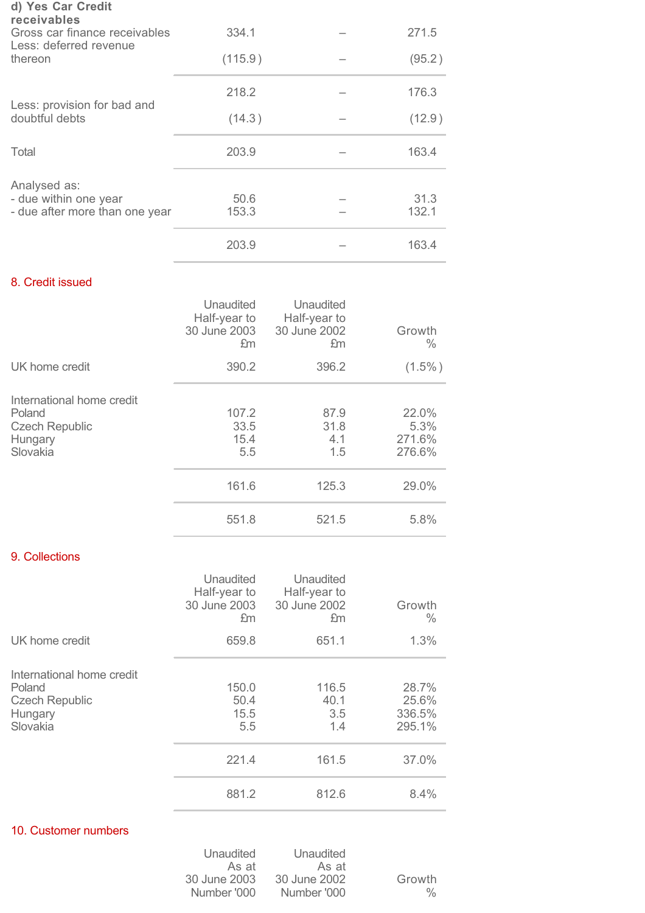| d) Yes Car Credit<br>receivables                        |         |        |
|---------------------------------------------------------|---------|--------|
| Gross car finance receivables<br>Less: deferred revenue | 334.1   | 271.5  |
| thereon                                                 | (115.9) | (95.2) |
|                                                         | 218.2   | 176.3  |
| Less: provision for bad and<br>doubtful debts           | (14.3)  | (12.9) |
| Total                                                   | 203.9   | 163.4  |
| Analysed as:                                            |         |        |
| - due within one year                                   | 50.6    | 31.3   |
| - due after more than one year                          | 153.3   | 132.1  |
|                                                         | 203.9   | 163.4  |

# 8. Credit issued

|                                                                                     | Unaudited<br>Half-year to<br>30 June 2003<br>£m | Unaudited<br>Half-year to<br>30 June 2002<br>£m | Growth<br>$\frac{0}{0}$           |
|-------------------------------------------------------------------------------------|-------------------------------------------------|-------------------------------------------------|-----------------------------------|
| UK home credit                                                                      | 390.2                                           | 396.2                                           | $(1.5\%)$                         |
| International home credit<br>Poland<br><b>Czech Republic</b><br>Hungary<br>Slovakia | 107.2<br>33.5<br>15.4<br>5.5                    | 87.9<br>31.8<br>4.1<br>1.5                      | 22.0%<br>5.3%<br>271.6%<br>276.6% |
|                                                                                     | 161.6                                           | 125.3                                           | 29.0%                             |
|                                                                                     | 551.8                                           | 521.5                                           | 5.8%                              |

# 9. Collections

|                                                                                     | Unaudited<br>Half-year to<br>30 June 2003<br>£m | Unaudited<br>Half-year to<br>30 June 2002<br>£m | Growth<br>$\frac{0}{0}$            |
|-------------------------------------------------------------------------------------|-------------------------------------------------|-------------------------------------------------|------------------------------------|
| UK home credit                                                                      | 659.8                                           | 651.1                                           | 1.3%                               |
| International home credit<br>Poland<br><b>Czech Republic</b><br>Hungary<br>Slovakia | 150.0<br>50.4<br>15.5<br>5.5                    | 116.5<br>40.1<br>3.5<br>1.4                     | 28.7%<br>25.6%<br>336.5%<br>295.1% |
|                                                                                     | 221.4                                           | 161.5                                           | 37.0%                              |
|                                                                                     | 881.2                                           | 812.6                                           | 8.4%                               |

## 10. Customer numbers

| <b>Unaudited</b> | Unaudited    |               |
|------------------|--------------|---------------|
| As at            | As at        |               |
| 30 June 2003     | 30 June 2002 | Growth        |
| Number '000      | Number '000  | $\frac{0}{0}$ |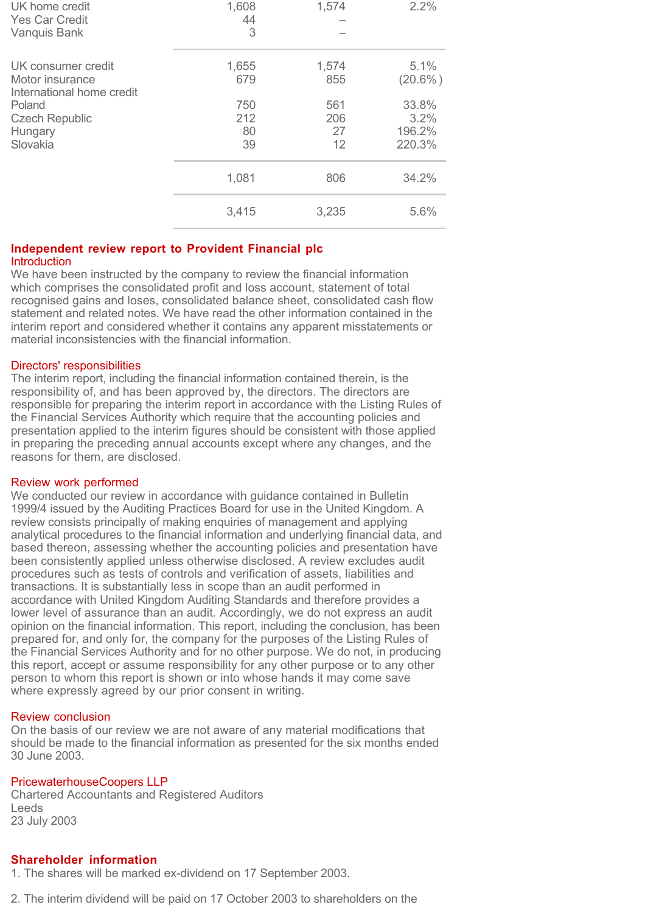| UK home credit<br><b>Yes Car Credit</b><br>Vanquis Bank            | 1,608<br>44<br>3 | 1,574        | 2.2%               |
|--------------------------------------------------------------------|------------------|--------------|--------------------|
| UK consumer credit<br>Motor insurance<br>International home credit | 1,655<br>679     | 1,574<br>855 | 5.1%<br>$(20.6\%)$ |
| Poland                                                             | 750              | 561          | 33.8%              |
| <b>Czech Republic</b>                                              | 212              | 206          | 3.2%               |
| Hungary                                                            | 80               | 27           | 196.2%             |
| Slovakia                                                           | 39               | 12           | 220.3%             |
|                                                                    | 1,081            | 806          | 34.2%              |
|                                                                    | 3,415            | 3,235        | 5.6%               |

## **Independent review report to Provident Financial plc**

#### Introduction

We have been instructed by the company to review the financial information which comprises the consolidated profit and loss account, statement of total recognised gains and loses, consolidated balance sheet, consolidated cash flow statement and related notes. We have read the other information contained in the interim report and considered whether it contains any apparent misstatements or material inconsistencies with the financial information.

### Directors' responsibilities

The interim report, including the financial information contained therein, is the responsibility of, and has been approved by, the directors. The directors are responsible for preparing the interim report in accordance with the Listing Rules of the Financial Services Authority which require that the accounting policies and presentation applied to the interim figures should be consistent with those applied in preparing the preceding annual accounts except where any changes, and the reasons for them, are disclosed.

### Review work performed

We conducted our review in accordance with quidance contained in Bulletin 1999/4 issued by the Auditing Practices Board for use in the United Kingdom. A review consists principally of making enquiries of management and applying analytical procedures to the financial information and underlying financial data, and based thereon, assessing whether the accounting policies and presentation have been consistently applied unless otherwise disclosed. A review excludes audit procedures such as tests of controls and verification of assets, liabilities and transactions. It is substantially less in scope than an audit performed in accordance with United Kingdom Auditing Standards and therefore provides a lower level of assurance than an audit. Accordingly, we do not express an audit opinion on the financial information. This report, including the conclusion, has been prepared for, and only for, the company for the purposes of the Listing Rules of the Financial Services Authority and for no other purpose. We do not, in producing this report, accept or assume responsibility for any other purpose or to any other person to whom this report is shown or into whose hands it may come save where expressly agreed by our prior consent in writing.

### Review conclusion

On the basis of our review we are not aware of any material modifications that should be made to the financial information as presented for the six months ended 30 June 2003.

### PricewaterhouseCoopers LLP

Chartered Accountants and Registered Auditors Leeds 23 July 2003

### **Shareholder information**

1. The shares will be marked ex-dividend on 17 September 2003.

2. The interim dividend will be paid on 17 October 2003 to shareholders on the